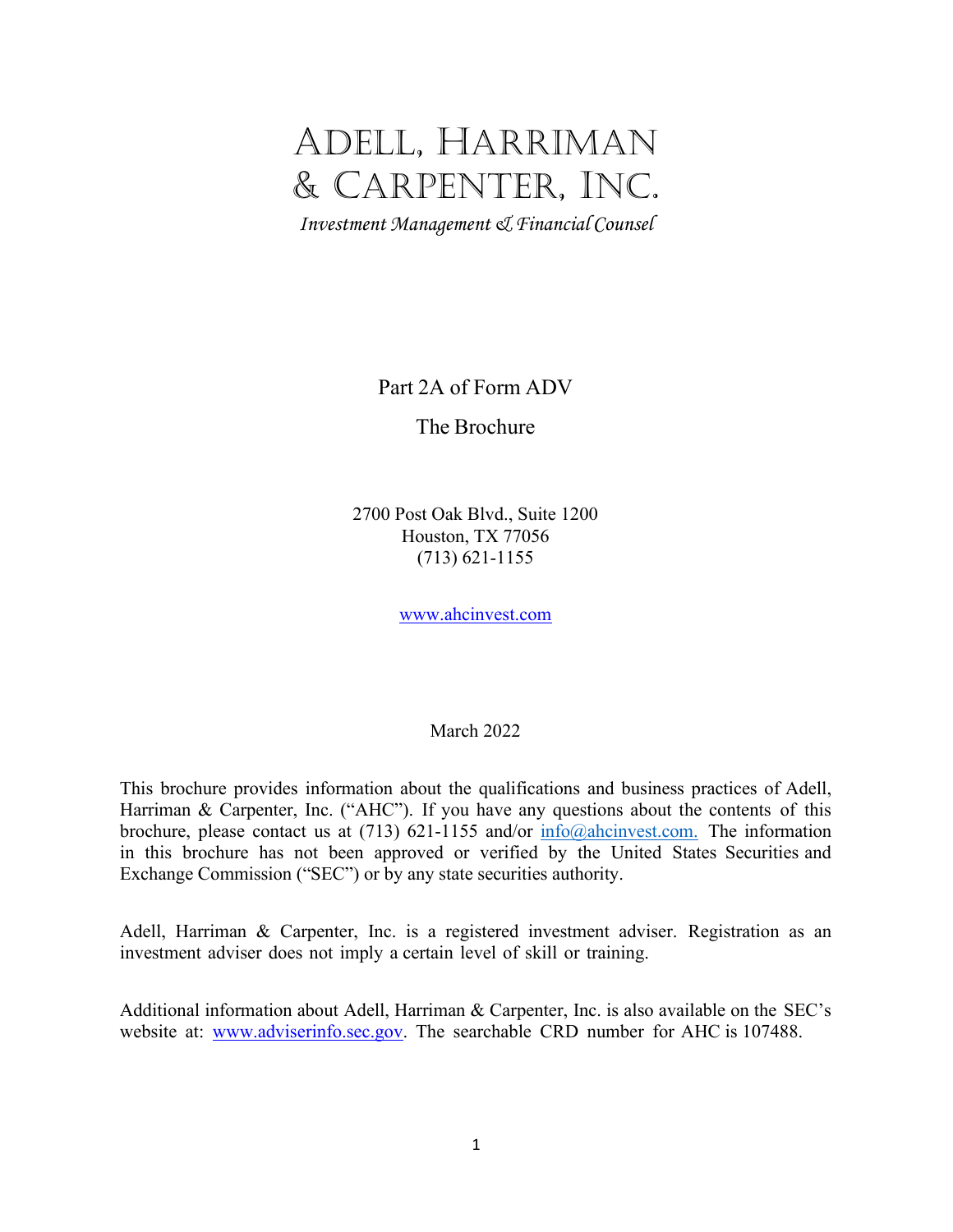# ADELL, HARRIMAN & CARPENTER, INC.

*Investment Management & Financial Counsel*

Part 2A of Form ADV

The Brochure

2700 Post Oak Blvd., Suite 1200 Houston, TX 77056 (713) 621-1155

[www.ahcinvest.com](http://www.ahcinvest.com/)

March 2022

This brochure provides information about the qualifications and business practices of Adell, Harriman & Carpenter, Inc. ("AHC"). If you have any questions about the contents of this brochure, please contact us at (713) 621-1155 and/or  $info@^{\text{ahcinvest.com}}$ . The information in this brochure has not been approved or verified by the United States Securities and Exchange Commission ("SEC") or by any state securities authority.

Adell, Harriman & Carpenter, Inc. is a registered investment adviser. Registration as an investment adviser does not imply a certain level of skill or training.

Additional information about Adell, Harriman & Carpenter, Inc. is also available on the SEC's website at: [www.adviserinfo.sec.gov.](http://www.adviserinfo.sec.gov/) The searchable CRD number for AHC is 107488.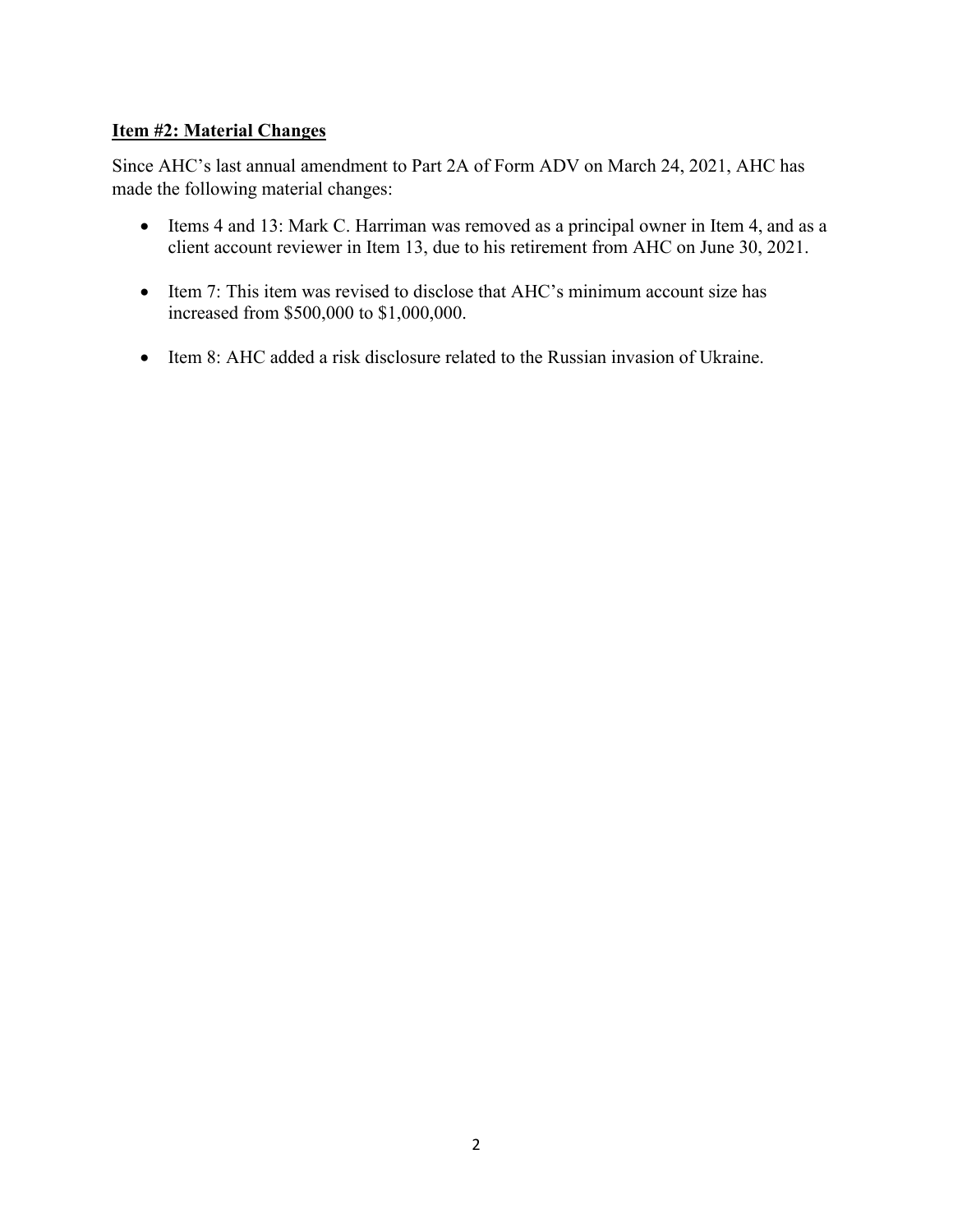# **Item #2: Material Changes**

Since AHC's last annual amendment to Part 2A of Form ADV on March 24, 2021, AHC has made the following material changes:

- Items 4 and 13: Mark C. Harriman was removed as a principal owner in Item 4, and as a client account reviewer in Item 13, due to his retirement from AHC on June 30, 2021.
- Item 7: This item was revised to disclose that AHC's minimum account size has increased from \$500,000 to \$1,000,000.
- Item 8: AHC added a risk disclosure related to the Russian invasion of Ukraine.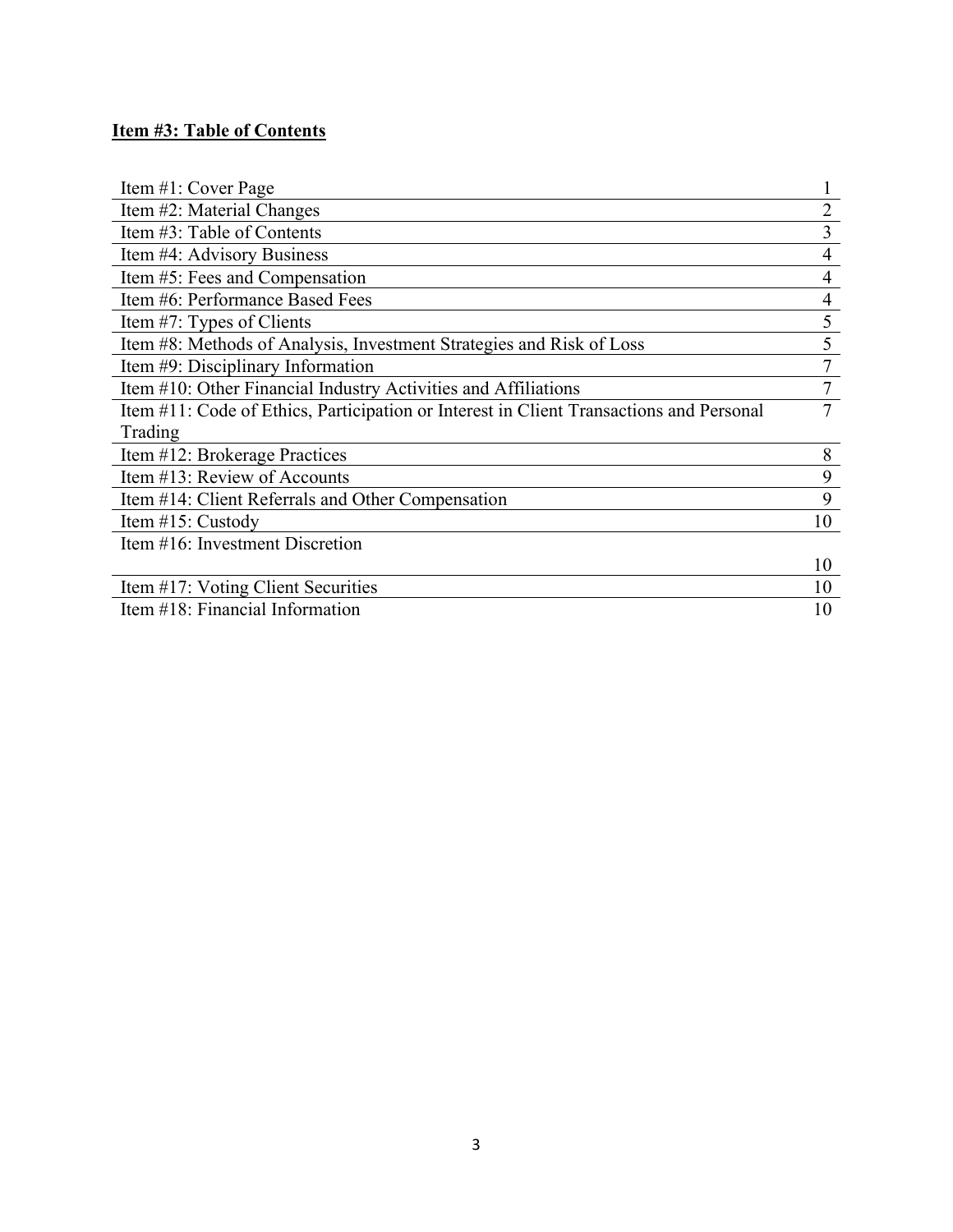# **Item #3: Table of Contents**

| Item #1: Cover Page                                                                     |                |
|-----------------------------------------------------------------------------------------|----------------|
| Item #2: Material Changes                                                               | $\overline{2}$ |
| Item #3: Table of Contents                                                              | 3              |
| Item #4: Advisory Business                                                              | 4              |
| Item #5: Fees and Compensation                                                          | 4              |
| Item #6: Performance Based Fees                                                         | 4              |
| Item #7: Types of Clients                                                               | 5              |
| Item #8: Methods of Analysis, Investment Strategies and Risk of Loss                    | 5              |
| Item #9: Disciplinary Information                                                       | 7              |
| Item #10: Other Financial Industry Activities and Affiliations                          |                |
| Item #11: Code of Ethics, Participation or Interest in Client Transactions and Personal | 7              |
| Trading                                                                                 |                |
| Item #12: Brokerage Practices                                                           | 8              |
| Item #13: Review of Accounts                                                            | 9              |
| Item #14: Client Referrals and Other Compensation                                       | 9              |
| Item #15: Custody                                                                       | 10             |
| Item #16: Investment Discretion                                                         |                |
|                                                                                         | 10             |
| Item #17: Voting Client Securities                                                      | 10             |
| Item #18: Financial Information                                                         | 10             |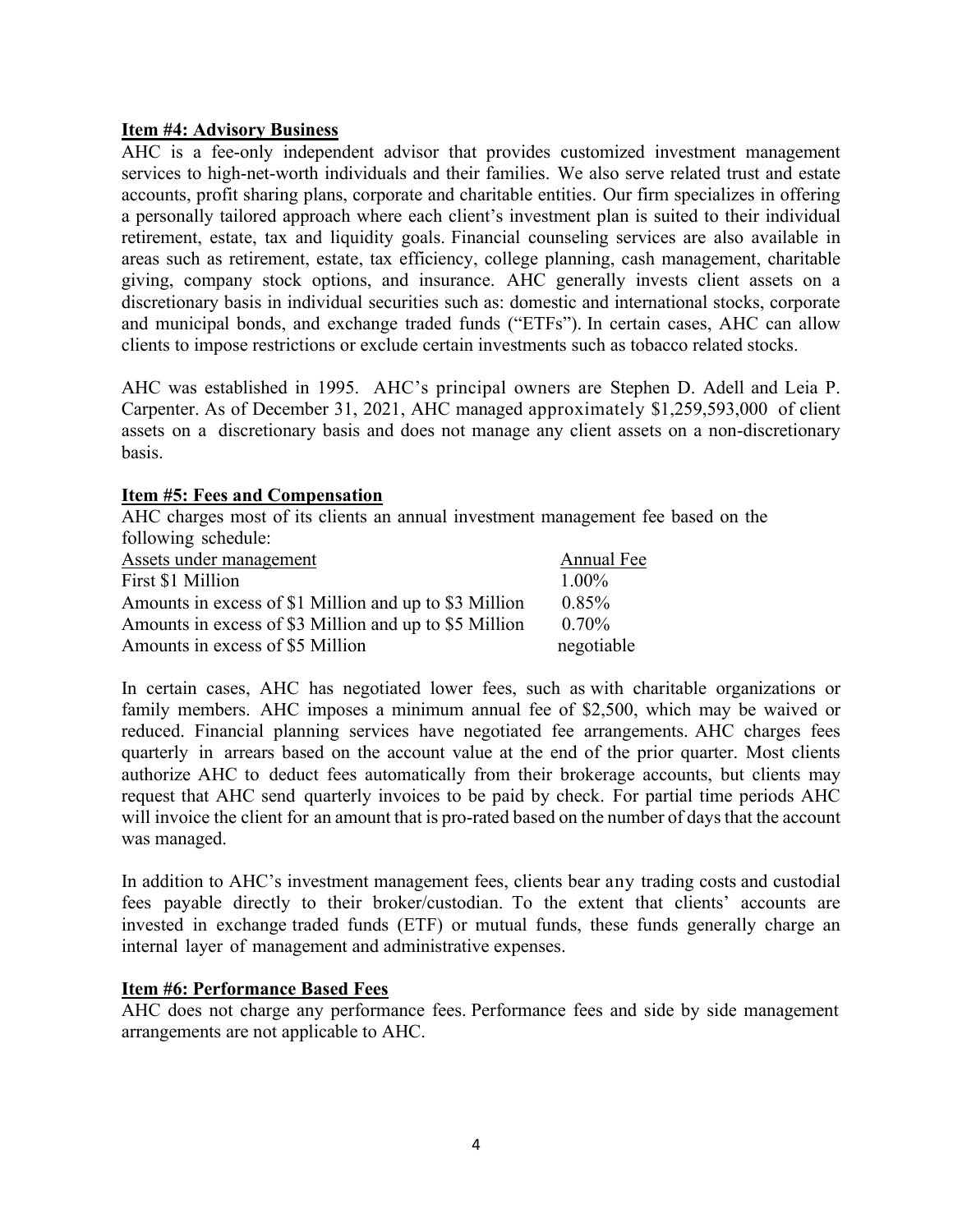### **Item #4: Advisory Business**

AHC is a fee-only independent advisor that provides customized investment management services to high-net-worth individuals and their families. We also serve related trust and estate accounts, profit sharing plans, corporate and charitable entities. Our firm specializes in offering a personally tailored approach where each client's investment plan is suited to their individual retirement, estate, tax and liquidity goals. Financial counseling services are also available in areas such as retirement, estate, tax efficiency, college planning, cash management, charitable giving, company stock options, and insurance. AHC generally invests client assets on a discretionary basis in individual securities such as: domestic and international stocks, corporate and municipal bonds, and exchange traded funds ("ETFs"). In certain cases, AHC can allow clients to impose restrictions or exclude certain investments such as tobacco related stocks.

AHC was established in 1995. AHC's principal owners are Stephen D. Adell and Leia P. Carpenter. As of December 31, 2021, AHC managed approximately \$1,259,593,000 of client assets on a discretionary basis and does not manage any client assets on a non-discretionary basis.

#### **Item #5: Fees and Compensation**

AHC charges most of its clients an annual investment management fee based on the following schedule:

| Assets under management                                | Annual Fee |
|--------------------------------------------------------|------------|
| First \$1 Million                                      | $1.00\%$   |
| Amounts in excess of \$1 Million and up to \$3 Million | 0.85%      |
| Amounts in excess of \$3 Million and up to \$5 Million | $0.70\%$   |
| Amounts in excess of \$5 Million                       | negotiable |

In certain cases, AHC has negotiated lower fees, such as with charitable organizations or family members. AHC imposes a minimum annual fee of \$2,500, which may be waived or reduced. Financial planning services have negotiated fee arrangements. AHC charges fees quarterly in arrears based on the account value at the end of the prior quarter. Most clients authorize AHC to deduct fees automatically from their brokerage accounts, but clients may request that AHC send quarterly invoices to be paid by check. For partial time periods AHC will invoice the client for an amount that is pro-rated based on the number of days that the account was managed.

In addition to AHC's investment management fees, clients bear any trading costs and custodial fees payable directly to their broker/custodian. To the extent that clients' accounts are invested in exchange traded funds (ETF) or mutual funds, these funds generally charge an internal layer of management and administrative expenses.

#### **Item #6: Performance Based Fees**

AHC does not charge any performance fees. Performance fees and side by side management arrangements are not applicable to AHC.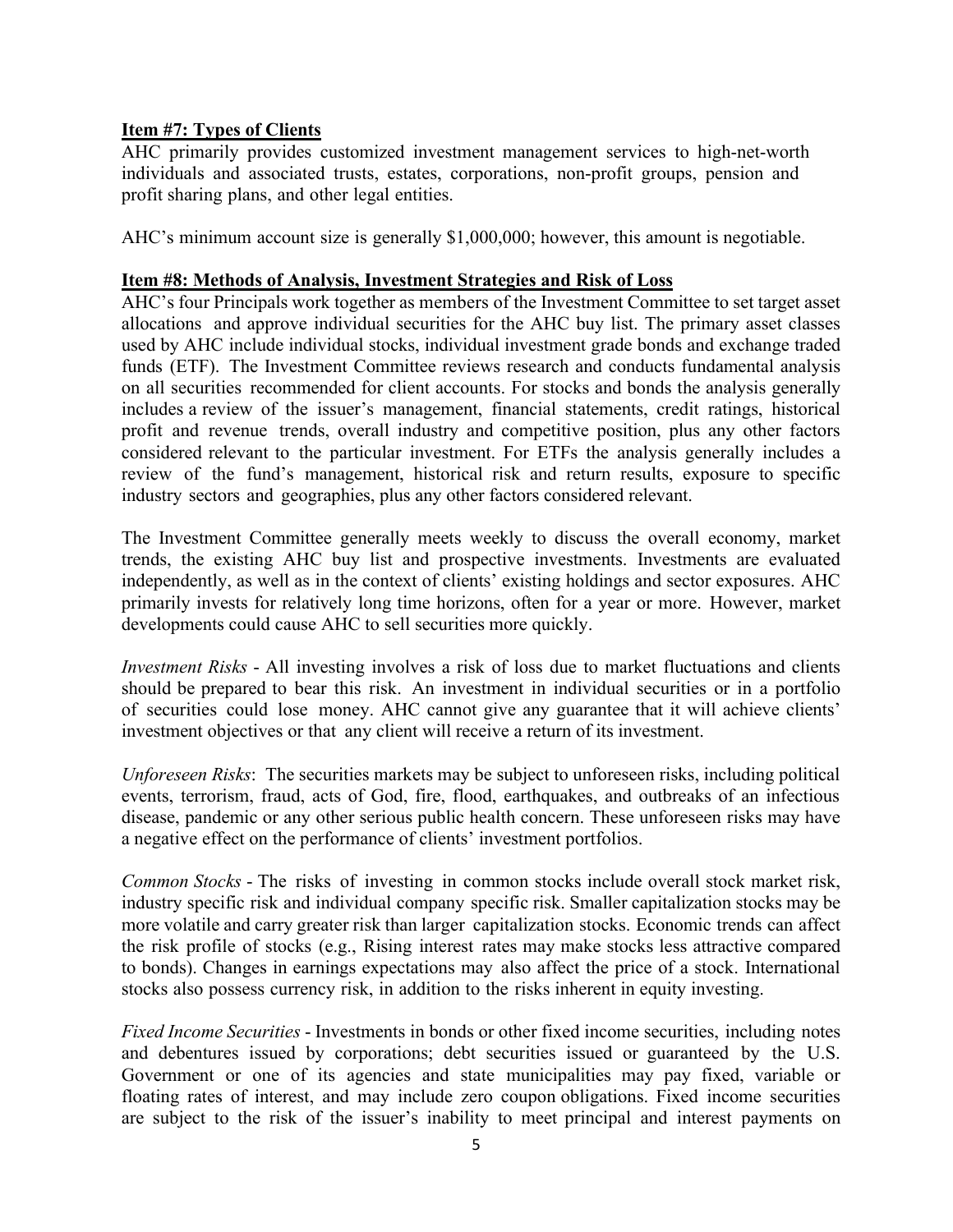# **Item #7: Types of Clients**

AHC primarily provides customized investment management services to high-net-worth individuals and associated trusts, estates, corporations, non-profit groups, pension and profit sharing plans, and other legal entities.

AHC's minimum account size is generally \$1,000,000; however, this amount is negotiable.

## **Item #8: Methods of Analysis, Investment Strategies and Risk of Loss**

AHC's four Principals work together as members of the Investment Committee to set target asset allocations and approve individual securities for the AHC buy list. The primary asset classes used by AHC include individual stocks, individual investment grade bonds and exchange traded funds (ETF). The Investment Committee reviews research and conducts fundamental analysis on all securities recommended for client accounts. For stocks and bonds the analysis generally includes a review of the issuer's management, financial statements, credit ratings, historical profit and revenue trends, overall industry and competitive position, plus any other factors considered relevant to the particular investment. For ETFs the analysis generally includes a review of the fund's management, historical risk and return results, exposure to specific industry sectors and geographies, plus any other factors considered relevant.

The Investment Committee generally meets weekly to discuss the overall economy, market trends, the existing AHC buy list and prospective investments. Investments are evaluated independently, as well as in the context of clients' existing holdings and sector exposures. AHC primarily invests for relatively long time horizons, often for a year or more. However, market developments could cause AHC to sell securities more quickly.

*Investment Risks* - All investing involves a risk of loss due to market fluctuations and clients should be prepared to bear this risk. An investment in individual securities or in a portfolio of securities could lose money. AHC cannot give any guarantee that it will achieve clients' investment objectives or that any client will receive a return of its investment.

*Unforeseen Risks*: The securities markets may be subject to unforeseen risks, including political events, terrorism, fraud, acts of God, fire, flood, earthquakes, and outbreaks of an infectious disease, pandemic or any other serious public health concern. These unforeseen risks may have a negative effect on the performance of clients' investment portfolios.

*Common Stocks* - The risks of investing in common stocks include overall stock market risk, industry specific risk and individual company specific risk. Smaller capitalization stocks may be more volatile and carry greater risk than larger capitalization stocks. Economic trends can affect the risk profile of stocks (e.g., Rising interest rates may make stocks less attractive compared to bonds). Changes in earnings expectations may also affect the price of a stock. International stocks also possess currency risk, in addition to the risks inherent in equity investing.

*Fixed Income Securities* - Investments in bonds or other fixed income securities, including notes and debentures issued by corporations; debt securities issued or guaranteed by the U.S. Government or one of its agencies and state municipalities may pay fixed, variable or floating rates of interest, and may include zero coupon obligations. Fixed income securities are subject to the risk of the issuer's inability to meet principal and interest payments on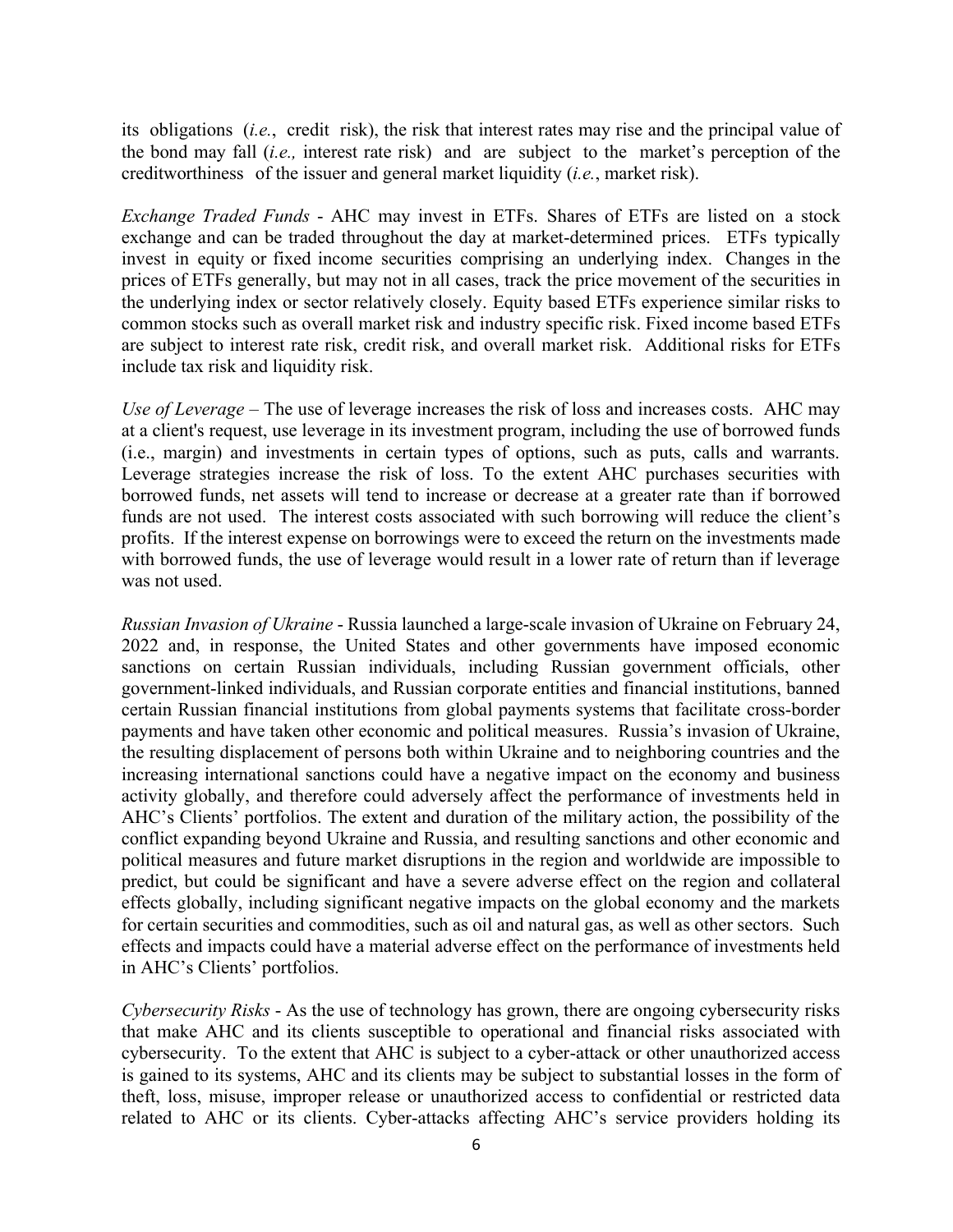its obligations (*i.e.*, credit risk), the risk that interest rates may rise and the principal value of the bond may fall (*i.e.,* interest rate risk) and are subject to the market's perception of the creditworthiness of the issuer and general market liquidity (*i.e.*, market risk).

*Exchange Traded Funds* - AHC may invest in ETFs. Shares of ETFs are listed on a stock exchange and can be traded throughout the day at market-determined prices. ETFs typically invest in equity or fixed income securities comprising an underlying index. Changes in the prices of ETFs generally, but may not in all cases, track the price movement of the securities in the underlying index or sector relatively closely. Equity based ETFs experience similar risks to common stocks such as overall market risk and industry specific risk. Fixed income based ETFs are subject to interest rate risk, credit risk, and overall market risk. Additional risks for ETFs include tax risk and liquidity risk.

*Use of Leverage* – The use of leverage increases the risk of loss and increases costs. AHC may at a client's request, use leverage in its investment program, including the use of borrowed funds (i.e., margin) and investments in certain types of options, such as puts, calls and warrants. Leverage strategies increase the risk of loss. To the extent AHC purchases securities with borrowed funds, net assets will tend to increase or decrease at a greater rate than if borrowed funds are not used. The interest costs associated with such borrowing will reduce the client's profits. If the interest expense on borrowings were to exceed the return on the investments made with borrowed funds, the use of leverage would result in a lower rate of return than if leverage was not used.

*Russian Invasion of Ukraine* - Russia launched a large-scale invasion of Ukraine on February 24, 2022 and, in response, the United States and other governments have imposed economic sanctions on certain Russian individuals, including Russian government officials, other government-linked individuals, and Russian corporate entities and financial institutions, banned certain Russian financial institutions from global payments systems that facilitate cross-border payments and have taken other economic and political measures. Russia's invasion of Ukraine, the resulting displacement of persons both within Ukraine and to neighboring countries and the increasing international sanctions could have a negative impact on the economy and business activity globally, and therefore could adversely affect the performance of investments held in AHC's Clients' portfolios. The extent and duration of the military action, the possibility of the conflict expanding beyond Ukraine and Russia, and resulting sanctions and other economic and political measures and future market disruptions in the region and worldwide are impossible to predict, but could be significant and have a severe adverse effect on the region and collateral effects globally, including significant negative impacts on the global economy and the markets for certain securities and commodities, such as oil and natural gas, as well as other sectors. Such effects and impacts could have a material adverse effect on the performance of investments held in AHC's Clients' portfolios.

*Cybersecurity Risks* - As the use of technology has grown, there are ongoing cybersecurity risks that make AHC and its clients susceptible to operational and financial risks associated with cybersecurity. To the extent that AHC is subject to a cyber-attack or other unauthorized access is gained to its systems, AHC and its clients may be subject to substantial losses in the form of theft, loss, misuse, improper release or unauthorized access to confidential or restricted data related to AHC or its clients. Cyber-attacks affecting AHC's service providers holding its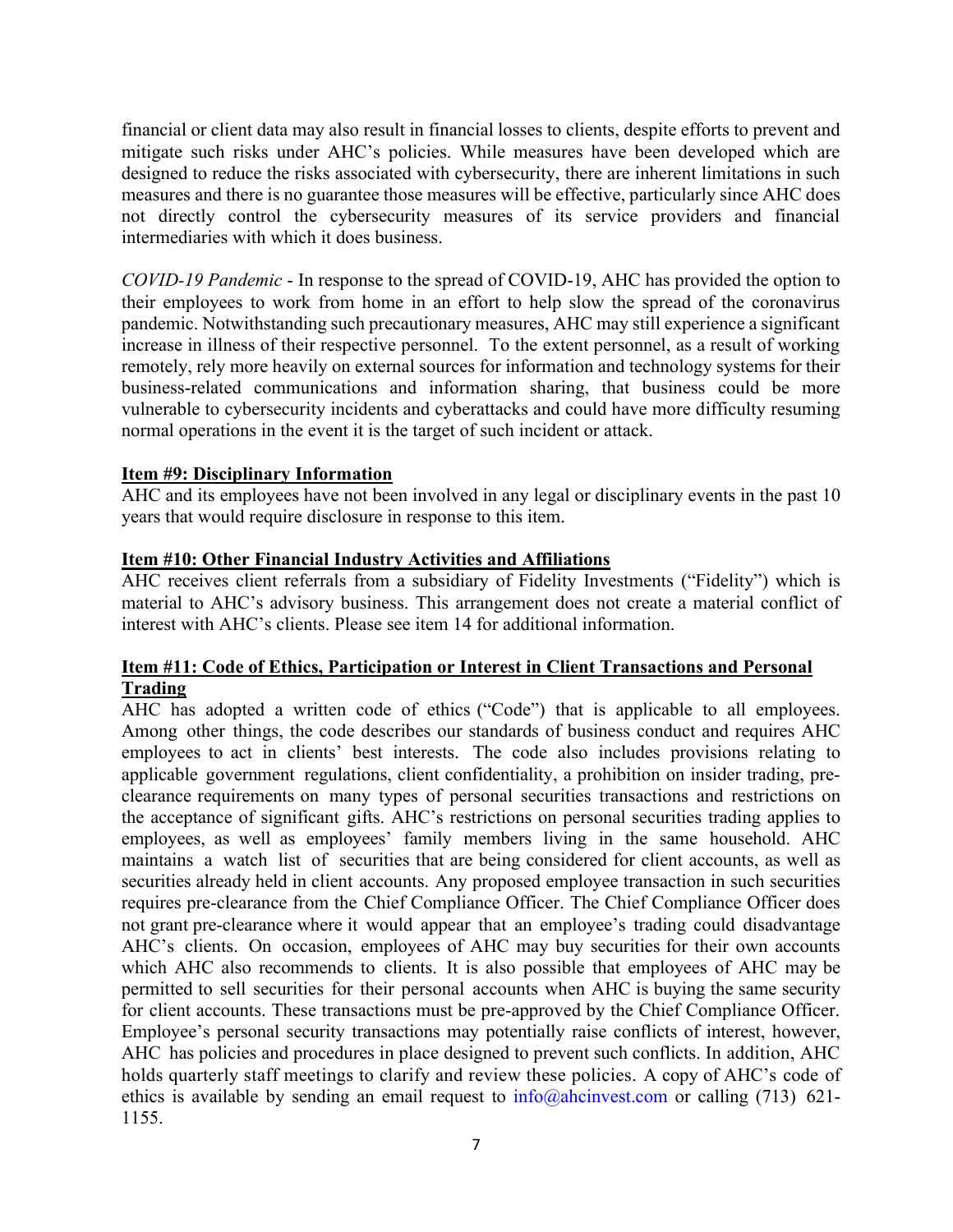financial or client data may also result in financial losses to clients, despite efforts to prevent and mitigate such risks under AHC's policies. While measures have been developed which are designed to reduce the risks associated with cybersecurity, there are inherent limitations in such measures and there is no guarantee those measures will be effective, particularly since AHC does not directly control the cybersecurity measures of its service providers and financial intermediaries with which it does business.

*COVID-19 Pandemic* - In response to the spread of COVID-19, AHC has provided the option to their employees to work from home in an effort to help slow the spread of the coronavirus pandemic. Notwithstanding such precautionary measures, AHC may still experience a significant increase in illness of their respective personnel. To the extent personnel, as a result of working remotely, rely more heavily on external sources for information and technology systems for their business-related communications and information sharing, that business could be more vulnerable to cybersecurity incidents and cyberattacks and could have more difficulty resuming normal operations in the event it is the target of such incident or attack.

### **Item #9: Disciplinary Information**

AHC and its employees have not been involved in any legal or disciplinary events in the past 10 years that would require disclosure in response to this item.

#### **Item #10: Other Financial Industry Activities and Affiliations**

AHC receives client referrals from a subsidiary of Fidelity Investments ("Fidelity") which is material to AHC's advisory business. This arrangement does not create a material conflict of interest with AHC's clients. Please see item 14 for additional information.

### **Item #11: Code of Ethics, Participation or Interest in Client Transactions and Personal Trading**

AHC has adopted a written code of ethics ("Code") that is applicable to all employees. Among other things, the code describes our standards of business conduct and requires AHC employees to act in clients' best interests. The code also includes provisions relating to applicable government regulations, client confidentiality, a prohibition on insider trading, preclearance requirements on many types of personal securities transactions and restrictions on the acceptance of significant gifts. AHC's restrictions on personal securities trading applies to employees, as well as employees' family members living in the same household. AHC maintains a watch list of securities that are being considered for client accounts, as well as securities already held in client accounts. Any proposed employee transaction in such securities requires pre-clearance from the Chief Compliance Officer. The Chief Compliance Officer does not grant pre-clearance where it would appear that an employee's trading could disadvantage AHC's clients. On occasion, employees of AHC may buy securities for their own accounts which AHC also recommends to clients. It is also possible that employees of AHC may be permitted to sell securities for their personal accounts when AHC is buying the same security for client accounts. These transactions must be pre-approved by the Chief Compliance Officer. Employee's personal security transactions may potentially raise conflicts of interest, however, AHC has policies and procedures in place designed to prevent such conflicts. In addition, AHC holds quarterly staff meetings to clarify and review these policies. A copy of AHC's code of ethics is available by sending an email request to  $info@ahcinvest.com$  or calling (713) 621-1155.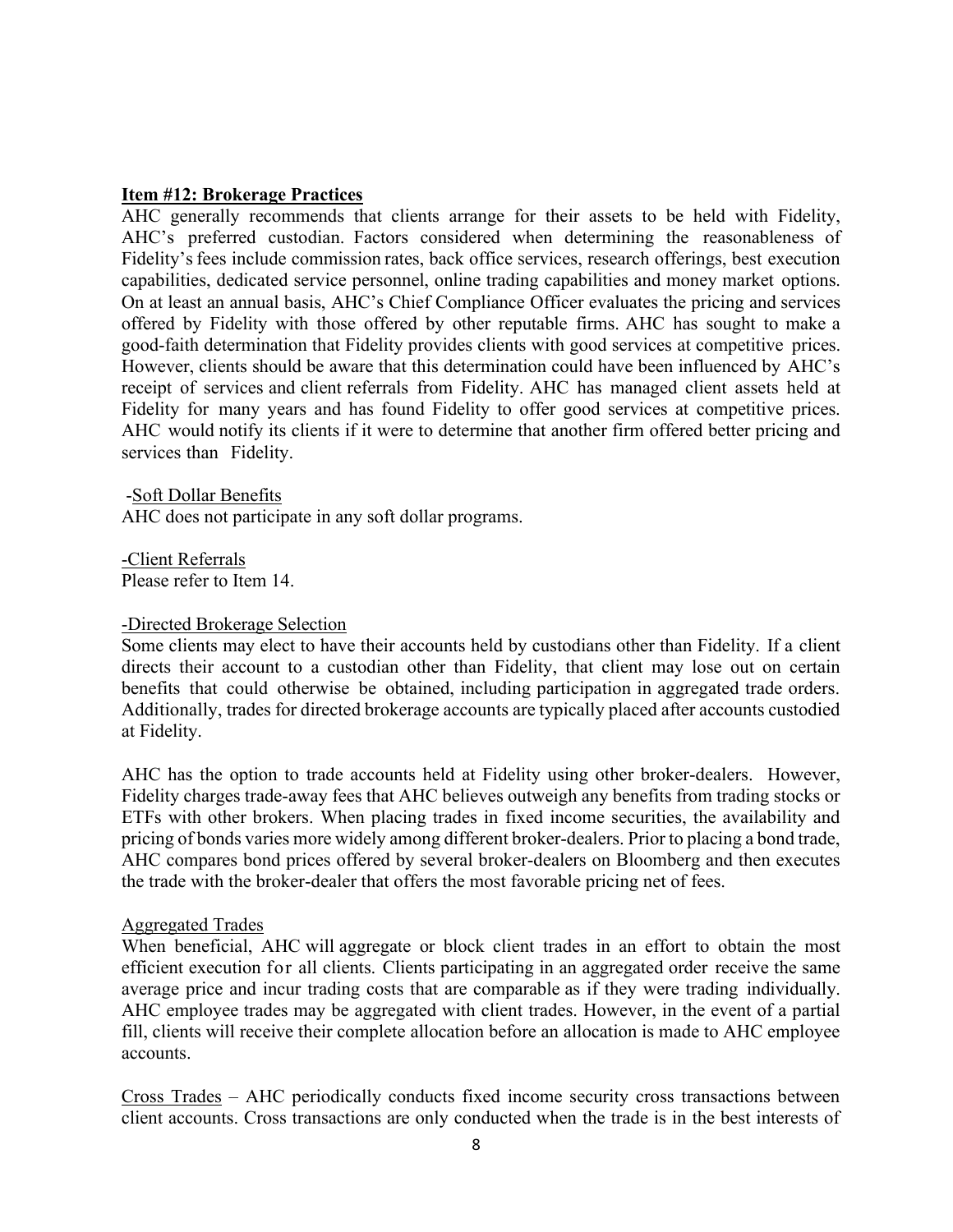#### **Item #12: Brokerage Practices**

AHC generally recommends that clients arrange for their assets to be held with Fidelity, AHC's preferred custodian. Factors considered when determining the reasonableness of Fidelity's fees include commission rates, back office services, research offerings, best execution capabilities, dedicated service personnel, online trading capabilities and money market options. On at least an annual basis, AHC's Chief Compliance Officer evaluates the pricing and services offered by Fidelity with those offered by other reputable firms. AHC has sought to make a good-faith determination that Fidelity provides clients with good services at competitive prices. However, clients should be aware that this determination could have been influenced by AHC's receipt of services and client referrals from Fidelity. AHC has managed client assets held at Fidelity for many years and has found Fidelity to offer good services at competitive prices. AHC would notify its clients if it were to determine that another firm offered better pricing and services than Fidelity.

-Soft Dollar Benefits AHC does not participate in any soft dollar programs.

-Client Referrals Please refer to Item 14.

#### -Directed Brokerage Selection

Some clients may elect to have their accounts held by custodians other than Fidelity. If a client directs their account to a custodian other than Fidelity, that client may lose out on certain benefits that could otherwise be obtained, including participation in aggregated trade orders. Additionally, trades for directed brokerage accounts are typically placed after accounts custodied at Fidelity.

AHC has the option to trade accounts held at Fidelity using other broker-dealers. However, Fidelity charges trade-away fees that AHC believes outweigh any benefits from trading stocks or ETFs with other brokers. When placing trades in fixed income securities, the availability and pricing of bonds varies more widely among different broker-dealers. Prior to placing a bond trade, AHC compares bond prices offered by several broker-dealers on Bloomberg and then executes the trade with the broker-dealer that offers the most favorable pricing net of fees.

#### Aggregated Trades

When beneficial, AHC will aggregate or block client trades in an effort to obtain the most efficient execution for all clients. Clients participating in an aggregated order receive the same average price and incur trading costs that are comparable as if they were trading individually. AHC employee trades may be aggregated with client trades. However, in the event of a partial fill, clients will receive their complete allocation before an allocation is made to AHC employee accounts.

Cross Trades – AHC periodically conducts fixed income security cross transactions between client accounts. Cross transactions are only conducted when the trade is in the best interests of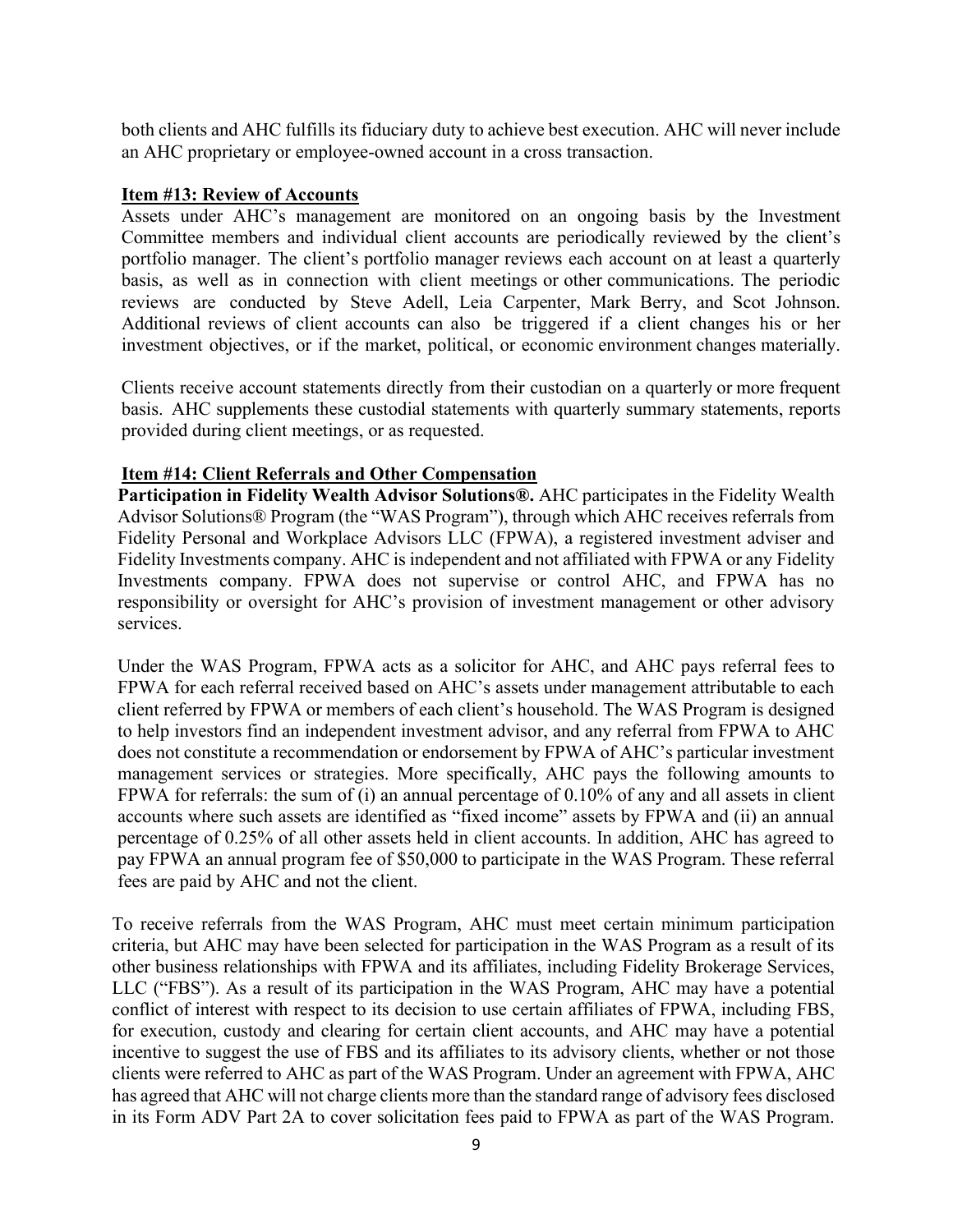both clients and AHC fulfills its fiduciary duty to achieve best execution. AHC will never include an AHC proprietary or employee-owned account in a cross transaction.

#### **Item #13: Review of Accounts**

Assets under AHC's management are monitored on an ongoing basis by the Investment Committee members and individual client accounts are periodically reviewed by the client's portfolio manager. The client's portfolio manager reviews each account on at least a quarterly basis, as well as in connection with client meetings or other communications. The periodic reviews are conducted by Steve Adell, Leia Carpenter, Mark Berry, and Scot Johnson. Additional reviews of client accounts can also be triggered if a client changes his or her investment objectives, or if the market, political, or economic environment changes materially.

Clients receive account statements directly from their custodian on a quarterly or more frequent basis. AHC supplements these custodial statements with quarterly summary statements, reports provided during client meetings, or as requested.

### **Item #14: Client Referrals and Other Compensation**

**Participation in Fidelity Wealth Advisor Solutions®.** AHC participates in the Fidelity Wealth Advisor Solutions® Program (the "WAS Program"), through which AHC receives referrals from Fidelity Personal and Workplace Advisors LLC (FPWA), a registered investment adviser and Fidelity Investments company. AHC is independent and not affiliated with FPWA or any Fidelity Investments company. FPWA does not supervise or control AHC, and FPWA has no responsibility or oversight for AHC's provision of investment management or other advisory services.

Under the WAS Program, FPWA acts as a solicitor for AHC, and AHC pays referral fees to FPWA for each referral received based on AHC's assets under management attributable to each client referred by FPWA or members of each client's household. The WAS Program is designed to help investors find an independent investment advisor, and any referral from FPWA to AHC does not constitute a recommendation or endorsement by FPWA of AHC's particular investment management services or strategies. More specifically, AHC pays the following amounts to FPWA for referrals: the sum of (i) an annual percentage of 0.10% of any and all assets in client accounts where such assets are identified as "fixed income" assets by FPWA and (ii) an annual percentage of 0.25% of all other assets held in client accounts. In addition, AHC has agreed to pay FPWA an annual program fee of \$50,000 to participate in the WAS Program. These referral fees are paid by AHC and not the client.

To receive referrals from the WAS Program, AHC must meet certain minimum participation criteria, but AHC may have been selected for participation in the WAS Program as a result of its other business relationships with FPWA and its affiliates, including Fidelity Brokerage Services, LLC ("FBS"). As a result of its participation in the WAS Program, AHC may have a potential conflict of interest with respect to its decision to use certain affiliates of FPWA, including FBS, for execution, custody and clearing for certain client accounts, and AHC may have a potential incentive to suggest the use of FBS and its affiliates to its advisory clients, whether or not those clients were referred to AHC as part of the WAS Program. Under an agreement with FPWA, AHC has agreed that AHC will not charge clients more than the standard range of advisory fees disclosed in its Form ADV Part 2A to cover solicitation fees paid to FPWA as part of the WAS Program.